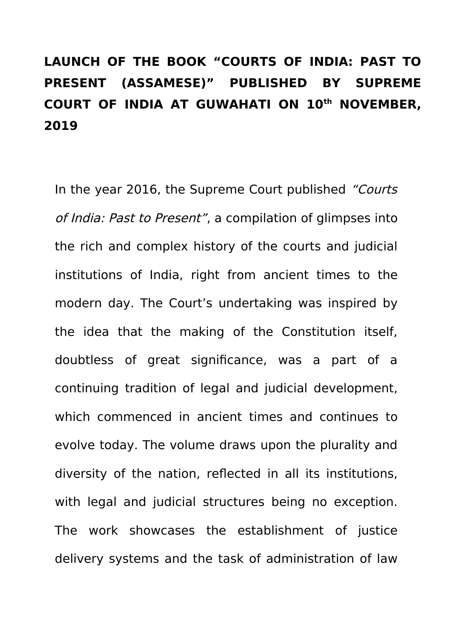## **LAUNCH OF THE BOOK "COURTS OF INDIA: PAST TO PRESENT (ASSAMESE)" PUBLISHED BY SUPREME COURT OF INDIA AT GUWAHATI ON 10th NOVEMBER, 2019**

In the year 2016, the Supreme Court published "Courts" of India: Past to Present", a compilation of glimpses into the rich and complex history of the courts and judicial institutions of India, right from ancient times to the modern day. The Court's undertaking was inspired by the idea that the making of the Constitution itself, doubtless of great significance, was a part of a continuing tradition of legal and judicial development, which commenced in ancient times and continues to evolve today. The volume draws upon the plurality and diversity of the nation, reflected in all its institutions, with legal and judicial structures being no exception. The work showcases the establishment of justice delivery systems and the task of administration of law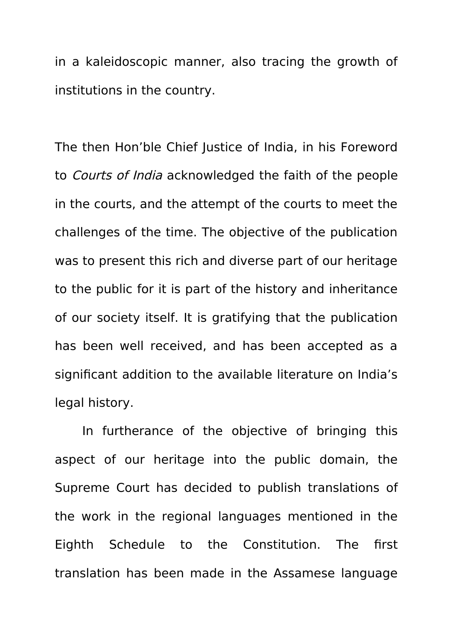in a kaleidoscopic manner, also tracing the growth of institutions in the country.

The then Hon'ble Chief Justice of India, in his Foreword to Courts of India acknowledged the faith of the people in the courts, and the attempt of the courts to meet the challenges of the time. The objective of the publication was to present this rich and diverse part of our heritage to the public for it is part of the history and inheritance of our society itself. It is gratifying that the publication has been well received, and has been accepted as a significant addition to the available literature on India's legal history.

In furtherance of the objective of bringing this aspect of our heritage into the public domain, the Supreme Court has decided to publish translations of the work in the regional languages mentioned in the Eighth Schedule to the Constitution. The first translation has been made in the Assamese language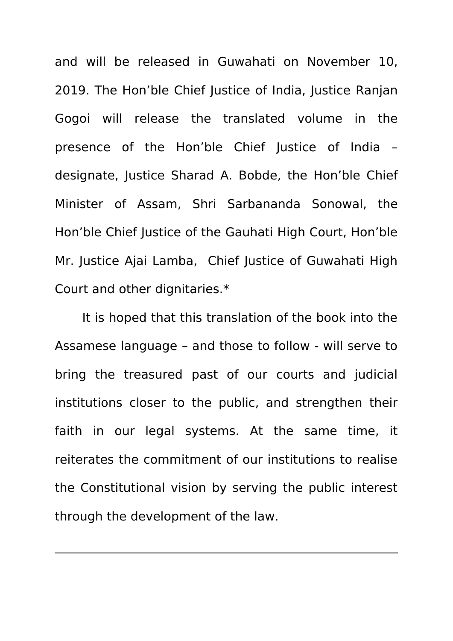and will be released in Guwahati on November 10, 2019. The Hon'ble Chief Justice of India, Justice Ranjan Gogoi will release the translated volume in the presence of the Hon'ble Chief Justice of India – designate, Justice Sharad A. Bobde, the Hon'ble Chief Minister of Assam, Shri Sarbananda Sonowal, the Hon'ble Chief Justice of the Gauhati High Court, Hon'ble Mr. Justice Ajai Lamba, Chief Justice of Guwahati High Court and other dignitaries.\*

It is hoped that this translation of the book into the Assamese language – and those to follow - will serve to bring the treasured past of our courts and judicial institutions closer to the public, and strengthen their faith in our legal systems. At the same time, it reiterates the commitment of our institutions to realise the Constitutional vision by serving the public interest through the development of the law.